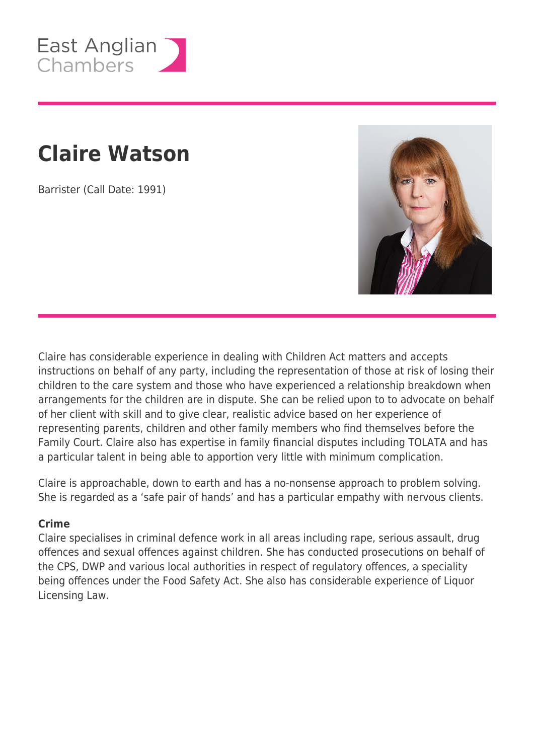

# **Claire Watson**

Barrister (Call Date: 1991)



Claire has considerable experience in dealing with Children Act matters and accepts instructions on behalf of any party, including the representation of those at risk of losing their children to the care system and those who have experienced a relationship breakdown when arrangements for the children are in dispute. She can be relied upon to to advocate on behalf of her client with skill and to give clear, realistic advice based on her experience of representing parents, children and other family members who find themselves before the Family Court. Claire also has expertise in family financial disputes including TOLATA and has a particular talent in being able to apportion very little with minimum complication.

Claire is approachable, down to earth and has a no-nonsense approach to problem solving. She is regarded as a 'safe pair of hands' and has a particular empathy with nervous clients.

#### **Crime**

Claire specialises in criminal defence work in all areas including rape, serious assault, drug offences and sexual offences against children. She has conducted prosecutions on behalf of the CPS, DWP and various local authorities in respect of regulatory offences, a speciality being offences under the Food Safety Act. She also has considerable experience of Liquor Licensing Law.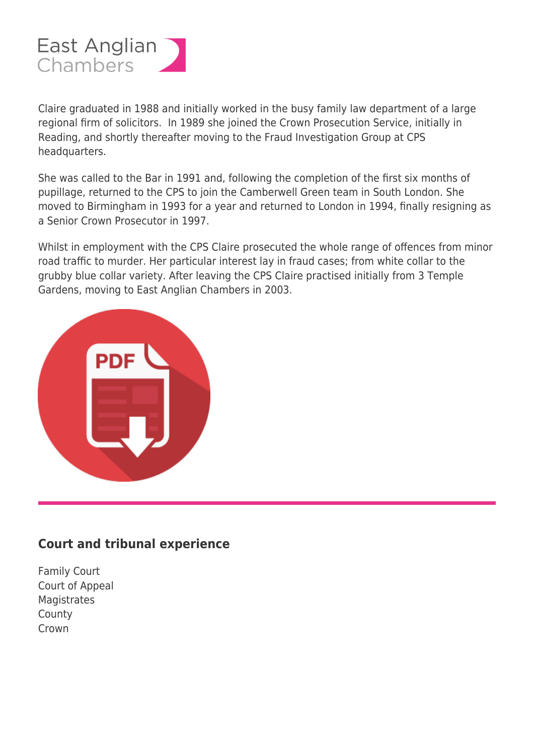

Claire graduated in 1988 and initially worked in the busy family law department of a large regional firm of solicitors. In 1989 she joined the Crown Prosecution Service, initially in Reading, and shortly thereafter moving to the Fraud Investigation Group at CPS headquarters.

She was called to the Bar in 1991 and, following the completion of the first six months of pupillage, returned to the CPS to join the Camberwell Green team in South London. She moved to Birmingham in 1993 for a year and returned to London in 1994, finally resigning as a Senior Crown Prosecutor in 1997.

Whilst in employment with the CPS Claire prosecuted the whole range of offences from minor road traffic to murder. Her particular interest lay in fraud cases; from white collar to the grubby blue collar variety. After leaving the CPS Claire practised initially from 3 Temple Gardens, moving to East Anglian Chambers in 2003.



### **Court and tribunal experience**

Family Court Court of Appeal **Magistrates** County Crown